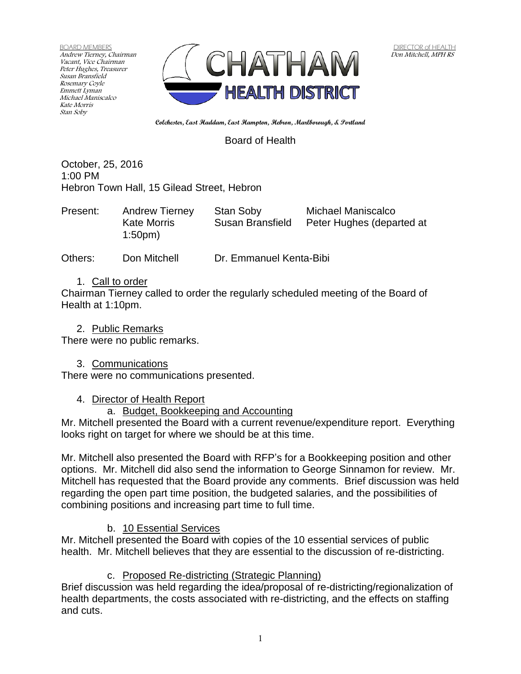BOARD MEMBERS Andrew Tierney, Chairman Vacant, Vice Chairman Peter Hughes, Treasurer Susan Bransfield Rosemary Coyle Emmett Lyman Michael Maniscalco Kate Morris Stan Soby



**Colchester, East Haddam, East Hampton, Hebron, Marlborough, & Portland**

Board of Health

October, 25, 2016 1:00 PM Hebron Town Hall, 15 Gilead Street, Hebron

| Present:<br><b>Andrew Tierney</b><br><b>Kate Morris</b><br>1:50 <sub>pm</sub> | Stan Soby<br>Susan Bransfield | Michael Maniscalco<br>Peter Hughes (departed at |
|-------------------------------------------------------------------------------|-------------------------------|-------------------------------------------------|
|-------------------------------------------------------------------------------|-------------------------------|-------------------------------------------------|

Others: Don Mitchell Dr. Emmanuel Kenta-Bibi

#### 1. Call to order

Chairman Tierney called to order the regularly scheduled meeting of the Board of Health at 1:10pm.

2. Public Remarks

There were no public remarks.

### 3. Communications

There were no communications presented.

#### 4. Director of Health Report

### a. Budget, Bookkeeping and Accounting

Mr. Mitchell presented the Board with a current revenue/expenditure report. Everything looks right on target for where we should be at this time.

Mr. Mitchell also presented the Board with RFP's for a Bookkeeping position and other options. Mr. Mitchell did also send the information to George Sinnamon for review. Mr. Mitchell has requested that the Board provide any comments. Brief discussion was held regarding the open part time position, the budgeted salaries, and the possibilities of combining positions and increasing part time to full time.

# b. 10 Essential Services

Mr. Mitchell presented the Board with copies of the 10 essential services of public health. Mr. Mitchell believes that they are essential to the discussion of re-districting.

### c. Proposed Re-districting (Strategic Planning)

Brief discussion was held regarding the idea/proposal of re-districting/regionalization of health departments, the costs associated with re-districting, and the effects on staffing and cuts.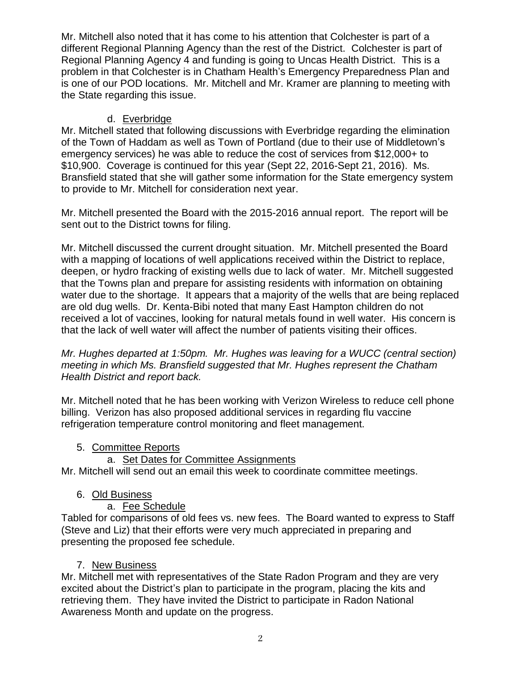Mr. Mitchell also noted that it has come to his attention that Colchester is part of a different Regional Planning Agency than the rest of the District. Colchester is part of Regional Planning Agency 4 and funding is going to Uncas Health District. This is a problem in that Colchester is in Chatham Health's Emergency Preparedness Plan and is one of our POD locations. Mr. Mitchell and Mr. Kramer are planning to meeting with the State regarding this issue.

## d. Everbridge

Mr. Mitchell stated that following discussions with Everbridge regarding the elimination of the Town of Haddam as well as Town of Portland (due to their use of Middletown's emergency services) he was able to reduce the cost of services from \$12,000+ to \$10,900. Coverage is continued for this year (Sept 22, 2016-Sept 21, 2016). Ms. Bransfield stated that she will gather some information for the State emergency system to provide to Mr. Mitchell for consideration next year.

Mr. Mitchell presented the Board with the 2015-2016 annual report. The report will be sent out to the District towns for filing.

Mr. Mitchell discussed the current drought situation. Mr. Mitchell presented the Board with a mapping of locations of well applications received within the District to replace, deepen, or hydro fracking of existing wells due to lack of water. Mr. Mitchell suggested that the Towns plan and prepare for assisting residents with information on obtaining water due to the shortage. It appears that a majority of the wells that are being replaced are old dug wells. Dr. Kenta-Bibi noted that many East Hampton children do not received a lot of vaccines, looking for natural metals found in well water. His concern is that the lack of well water will affect the number of patients visiting their offices.

*Mr. Hughes departed at 1:50pm. Mr. Hughes was leaving for a WUCC (central section) meeting in which Ms. Bransfield suggested that Mr. Hughes represent the Chatham Health District and report back.*

Mr. Mitchell noted that he has been working with Verizon Wireless to reduce cell phone billing. Verizon has also proposed additional services in regarding flu vaccine refrigeration temperature control monitoring and fleet management.

### 5. Committee Reports

### a. Set Dates for Committee Assignments

Mr. Mitchell will send out an email this week to coordinate committee meetings.

### 6. Old Business

### a. Fee Schedule

Tabled for comparisons of old fees vs. new fees. The Board wanted to express to Staff (Steve and Liz) that their efforts were very much appreciated in preparing and presenting the proposed fee schedule.

### 7. New Business

Mr. Mitchell met with representatives of the State Radon Program and they are very excited about the District's plan to participate in the program, placing the kits and retrieving them. They have invited the District to participate in Radon National Awareness Month and update on the progress.